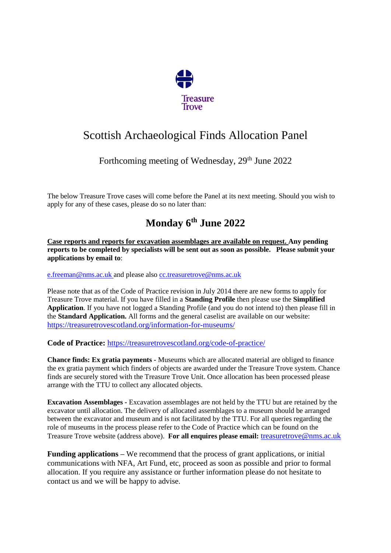

# Scottish Archaeological Finds Allocation Panel

#### Forthcoming meeting of Wednesday, 29<sup>th</sup> June 2022

The below Treasure Trove cases will come before the Panel at its next meeting. Should you wish to apply for any of these cases, please do so no later than:

## **Monday 6th June 2022**

**Case reports and reports for excavation assemblages are available on request. Any pending reports to be completed by specialists will be sent out as soon as possible. Please submit your applications by email to**:

[e.freeman@nms.ac.uk](mailto:e.freeman@nms.ac.uk) and please also [cc.treasuretrove@nms.ac.uk](mailto:cc.treasuretrove@nms.ac.uk)

Please note that as of the Code of Practice revision in July 2014 there are new forms to apply for Treasure Trove material. If you have filled in a **Standing Profile** then please use the **Simplified Application**. If you have not logged a Standing Profile (and you do not intend to) then please fill in the **Standard Application.** All forms and the general caselist are available on our website: <https://treasuretrovescotland.org/information-for-museums/>

**Code of Practice:** <https://treasuretrovescotland.org/code-of-practice/>

**Chance finds: Ex gratia payments -** Museums which are allocated material are obliged to finance the ex gratia payment which finders of objects are awarded under the Treasure Trove system. Chance finds are securely stored with the Treasure Trove Unit. Once allocation has been processed please arrange with the TTU to collect any allocated objects.

**Excavation Assemblages -** Excavation assemblages are not held by the TTU but are retained by the excavator until allocation. The delivery of allocated assemblages to a museum should be arranged between the excavator and museum and is not facilitated by the TTU. For all queries regarding the role of museums in the process please refer to the Code of Practice which can be found on the Treasure Trove website (address above). **For all enquires please email:** [treasuretrove@nms.ac.uk](mailto:treasuretrove@nms.ac.uk)

**Funding applications –** We recommend that the process of grant applications, or initial communications with NFA, Art Fund, etc, proceed as soon as possible and prior to formal allocation. If you require any assistance or further information please do not hesitate to contact us and we will be happy to advise.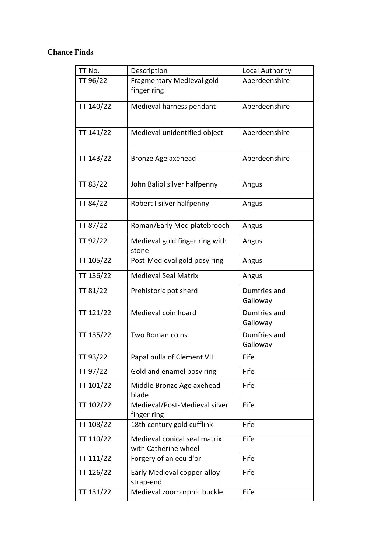#### **Chance Finds**

| TT No.          | Description                    | Local Authority |
|-----------------|--------------------------------|-----------------|
| TT 96/22        | Fragmentary Medieval gold      | Aberdeenshire   |
|                 | finger ring                    |                 |
| TT 140/22       | Medieval harness pendant       | Aberdeenshire   |
|                 |                                |                 |
|                 |                                |                 |
| TT 141/22       | Medieval unidentified object   | Aberdeenshire   |
|                 |                                |                 |
| TT 143/22       | Bronze Age axehead             | Aberdeenshire   |
|                 |                                |                 |
| TT 83/22        | John Baliol silver halfpenny   | Angus           |
|                 |                                |                 |
| TT 84/22        | Robert I silver halfpenny      | Angus           |
|                 |                                |                 |
| TT 87/22        | Roman/Early Med platebrooch    | Angus           |
| TT 92/22        | Medieval gold finger ring with | Angus           |
|                 | stone                          |                 |
| TT 105/22       | Post-Medieval gold posy ring   | Angus           |
| TT 136/22       | <b>Medieval Seal Matrix</b>    | Angus           |
| <b>TT 81/22</b> | Prehistoric pot sherd          | Dumfries and    |
|                 |                                | Galloway        |
| TT 121/22       | Medieval coin hoard            | Dumfries and    |
|                 |                                | Galloway        |
| TT 135/22       | Two Roman coins                | Dumfries and    |
|                 |                                | Galloway        |
| TT 93/22        | Papal bulla of Clement VII     | Fife            |
| TT 97/22        | Gold and enamel posy ring      | Fife            |
| TT 101/22       | Middle Bronze Age axehead      | Fife            |
|                 | blade                          |                 |
| TT 102/22       | Medieval/Post-Medieval silver  | Fife            |
|                 | finger ring                    |                 |
| TT 108/22       | 18th century gold cufflink     | Fife            |
| TT 110/22       | Medieval conical seal matrix   | Fife            |
|                 | with Catherine wheel           |                 |
| TT 111/22       | Forgery of an ecu d'or         | Fife            |
| TT 126/22       | Early Medieval copper-alloy    | Fife            |
|                 | strap-end                      |                 |
| TT 131/22       | Medieval zoomorphic buckle     | Fife            |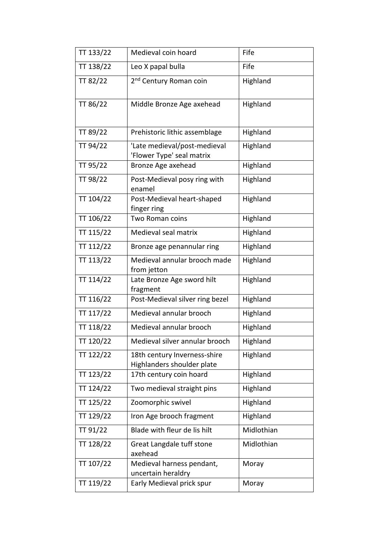| TT 133/22 | Medieval coin hoard                                        | Fife       |
|-----------|------------------------------------------------------------|------------|
| TT 138/22 | Leo X papal bulla                                          | Fife       |
| TT 82/22  | 2 <sup>nd</sup> Century Roman coin                         | Highland   |
| TT 86/22  | Middle Bronze Age axehead                                  | Highland   |
| TT 89/22  | Prehistoric lithic assemblage                              | Highland   |
| TT 94/22  | 'Late medieval/post-medieval<br>'Flower Type' seal matrix  | Highland   |
| TT 95/22  | Bronze Age axehead                                         | Highland   |
| TT 98/22  | Post-Medieval posy ring with<br>enamel                     | Highland   |
| TT 104/22 | Post-Medieval heart-shaped<br>finger ring                  | Highland   |
| TT 106/22 | Two Roman coins                                            | Highland   |
| TT 115/22 | Medieval seal matrix                                       | Highland   |
| TT 112/22 | Bronze age penannular ring                                 | Highland   |
| TT 113/22 | Medieval annular brooch made<br>from jetton                | Highland   |
| TT 114/22 | Late Bronze Age sword hilt<br>fragment                     | Highland   |
| TT 116/22 | Post-Medieval silver ring bezel                            | Highland   |
| TT 117/22 | Medieval annular brooch                                    | Highland   |
| TT 118/22 | Medieval annular brooch                                    | Highland   |
| TT 120/22 | Medieval silver annular brooch                             | Highland   |
| TT 122/22 | 18th century Inverness-shire<br>Highlanders shoulder plate | Highland   |
| TT 123/22 | 17th century coin hoard                                    | Highland   |
| TT 124/22 | Two medieval straight pins                                 | Highland   |
| TT 125/22 | Zoomorphic swivel                                          | Highland   |
| TT 129/22 | Iron Age brooch fragment                                   | Highland   |
| TT 91/22  | Blade with fleur de lis hilt                               | Midlothian |
| TT 128/22 | Great Langdale tuff stone<br>axehead                       | Midlothian |
| TT 107/22 | Medieval harness pendant,<br>uncertain heraldry            | Moray      |
| TT 119/22 | Early Medieval prick spur                                  | Moray      |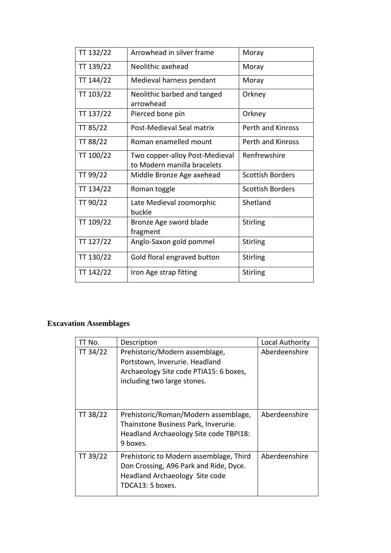| TT 132/22 | Arrowhead in silver frame                                     | Moray                   |
|-----------|---------------------------------------------------------------|-------------------------|
| TT 139/22 | Neolithic axehead                                             | Moray                   |
| TT 144/22 | Medieval harness pendant                                      | Moray                   |
| TT 103/22 | Neolithic barbed and tanged<br>arrowhead                      | Orkney                  |
| TT 137/22 | Pierced bone pin                                              | Orkney                  |
| TT 85/22  | Post-Medieval Seal matrix                                     | Perth and Kinross       |
| TT 88/22  | Roman enamelled mount                                         | Perth and Kinross       |
| TT 100/22 | Two copper-alloy Post-Medieval<br>to Modern manilla bracelets | Renfrewshire            |
| TT 99/22  | Middle Bronze Age axehead                                     | <b>Scottish Borders</b> |
| TT 134/22 | Roman toggle                                                  | <b>Scottish Borders</b> |
| TT 90/22  | Late Medieval zoomorphic<br>buckle                            | Shetland                |
| TT 109/22 | Bronze Age sword blade<br>fragment                            | <b>Stirling</b>         |
| TT 127/22 | Anglo-Saxon gold pommel                                       | <b>Stirling</b>         |
| TT 130/22 | Gold floral engraved button                                   | <b>Stirling</b>         |
| TT 142/22 | Iron Age strap fitting                                        | <b>Stirling</b>         |

### **Excavation Assemblages**

| TT No.   | Description                                                                                                                               | Local Authority |
|----------|-------------------------------------------------------------------------------------------------------------------------------------------|-----------------|
| TT 34/22 | Prehistoric/Modern assemblage,<br>Portstown, Inverurie. Headland<br>Archaeology Site code PTIA15: 6 boxes,<br>including two large stones. | Aberdeenshire   |
| TT 38/22 | Prehistoric/Roman/Modern assemblage,<br>Thainstone Business Park, Inverurie.<br>Headland Archaeology Site code TBPI18:<br>9 boxes.        | Aberdeenshire   |
| TT 39/22 | Prehistoric to Modern assemblage, Third<br>Don Crossing, A96 Park and Ride, Dyce.<br>Headland Archaeology Site code<br>TDCA13: 5 boxes.   | Aberdeenshire   |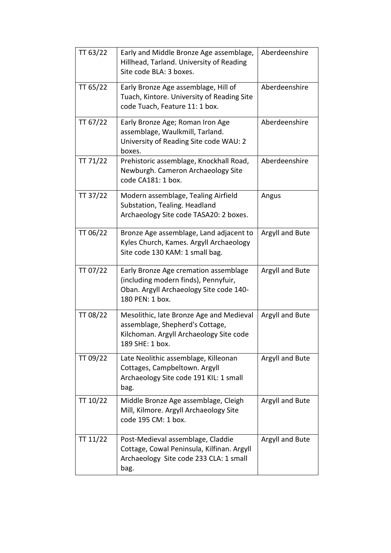| TT 63/22 | Early and Middle Bronze Age assemblage,<br>Hillhead, Tarland. University of Reading<br>Site code BLA: 3 boxes.                              | Aberdeenshire   |
|----------|---------------------------------------------------------------------------------------------------------------------------------------------|-----------------|
| TT 65/22 | Early Bronze Age assemblage, Hill of<br>Tuach, Kintore. University of Reading Site<br>code Tuach, Feature 11: 1 box.                        | Aberdeenshire   |
| TT 67/22 | Early Bronze Age; Roman Iron Age<br>assemblage, Waulkmill, Tarland.<br>University of Reading Site code WAU: 2<br>boxes.                     | Aberdeenshire   |
| TT 71/22 | Prehistoric assemblage, Knockhall Road,<br>Newburgh. Cameron Archaeology Site<br>code CA181: 1 box.                                         | Aberdeenshire   |
| TT 37/22 | Modern assemblage, Tealing Airfield<br>Substation, Tealing. Headland<br>Archaeology Site code TASA20: 2 boxes.                              | Angus           |
| TT 06/22 | Bronze Age assemblage, Land adjacent to<br>Kyles Church, Kames. Argyll Archaeology<br>Site code 130 KAM: 1 small bag.                       | Argyll and Bute |
| TT 07/22 | Early Bronze Age cremation assemblage<br>(including modern finds), Pennyfuir,<br>Oban. Argyll Archaeology Site code 140-<br>180 PEN: 1 box. | Argyll and Bute |
| TT 08/22 | Mesolithic, late Bronze Age and Medieval<br>assemblage, Shepherd's Cottage,<br>Kilchoman. Argyll Archaeology Site code<br>189 SHE: 1 box.   | Argyll and Bute |
| TT 09/22 | Late Neolithic assemblage, Killeonan<br>Cottages, Campbeltown. Argyll<br>Archaeology Site code 191 KIL: 1 small<br>bag.                     | Argyll and Bute |
| TT 10/22 | Middle Bronze Age assemblage, Cleigh<br>Mill, Kilmore. Argyll Archaeology Site<br>code 195 CM: 1 box.                                       | Argyll and Bute |
| TT 11/22 | Post-Medieval assemblage, Claddie<br>Cottage, Cowal Peninsula, Kilfinan. Argyll<br>Archaeology Site code 233 CLA: 1 small<br>bag.           | Argyll and Bute |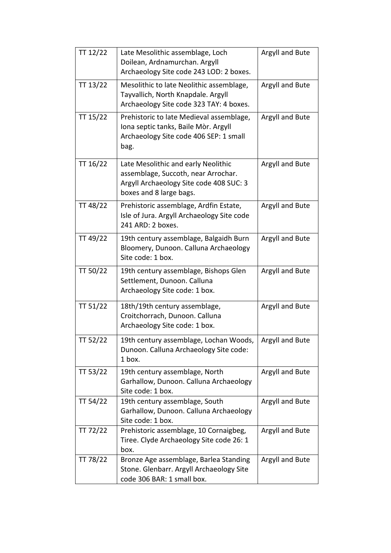| TT 12/22 | Late Mesolithic assemblage, Loch<br>Doilean, Ardnamurchan. Argyll                                                                                | Argyll and Bute |
|----------|--------------------------------------------------------------------------------------------------------------------------------------------------|-----------------|
|          | Archaeology Site code 243 LOD: 2 boxes.                                                                                                          |                 |
| TT 13/22 | Mesolithic to late Neolithic assemblage,<br>Tayvallich, North Knapdale. Argyll<br>Archaeology Site code 323 TAY: 4 boxes.                        | Argyll and Bute |
| TT 15/22 | Prehistoric to late Medieval assemblage,<br>Iona septic tanks, Baile Mòr. Argyll<br>Archaeology Site code 406 SEP: 1 small<br>bag.               | Argyll and Bute |
| TT 16/22 | Late Mesolithic and early Neolithic<br>assemblage, Succoth, near Arrochar.<br>Argyll Archaeology Site code 408 SUC: 3<br>boxes and 8 large bags. | Argyll and Bute |
| TT 48/22 | Prehistoric assemblage, Ardfin Estate,<br>Isle of Jura. Argyll Archaeology Site code<br>241 ARD: 2 boxes.                                        | Argyll and Bute |
| TT 49/22 | 19th century assemblage, Balgaidh Burn<br>Bloomery, Dunoon. Calluna Archaeology<br>Site code: 1 box.                                             | Argyll and Bute |
| TT 50/22 | 19th century assemblage, Bishops Glen<br>Settlement, Dunoon. Calluna<br>Archaeology Site code: 1 box.                                            | Argyll and Bute |
| TT 51/22 | 18th/19th century assemblage,<br>Croitchorrach, Dunoon. Calluna<br>Archaeology Site code: 1 box.                                                 | Argyll and Bute |
| TT 52/22 | 19th century assemblage, Lochan Woods,<br>Dunoon. Calluna Archaeology Site code:<br>1 box.                                                       | Argyll and Bute |
| TT 53/22 | 19th century assemblage, North<br>Garhallow, Dunoon. Calluna Archaeology<br>Site code: 1 box.                                                    | Argyll and Bute |
| TT 54/22 | 19th century assemblage, South<br>Garhallow, Dunoon. Calluna Archaeology<br>Site code: 1 box.                                                    | Argyll and Bute |
| TT 72/22 | Prehistoric assemblage, 10 Cornaigbeg,<br>Tiree. Clyde Archaeology Site code 26: 1<br>box.                                                       | Argyll and Bute |
| TT 78/22 | Bronze Age assemblage, Barlea Standing<br>Stone. Glenbarr. Argyll Archaeology Site<br>code 306 BAR: 1 small box.                                 | Argyll and Bute |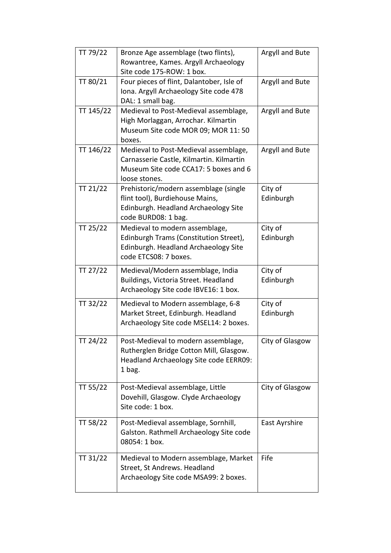| TT 79/22  | Bronze Age assemblage (two flints),       | Argyll and Bute |
|-----------|-------------------------------------------|-----------------|
|           | Rowantree, Kames. Argyll Archaeology      |                 |
|           | Site code 175-ROW: 1 box.                 |                 |
| TT 80/21  | Four pieces of flint, Dalantober, Isle of | Argyll and Bute |
|           | Iona. Argyll Archaeology Site code 478    |                 |
|           | DAL: 1 small bag.                         |                 |
| TT 145/22 | Medieval to Post-Medieval assemblage,     | Argyll and Bute |
|           | High Morlaggan, Arrochar. Kilmartin       |                 |
|           | Museum Site code MOR 09; MOR 11: 50       |                 |
|           | boxes.                                    |                 |
| TT 146/22 | Medieval to Post-Medieval assemblage,     | Argyll and Bute |
|           | Carnasserie Castle, Kilmartin. Kilmartin  |                 |
|           | Museum Site code CCA17: 5 boxes and 6     |                 |
|           | loose stones.                             |                 |
| TT 21/22  | Prehistoric/modern assemblage (single     | City of         |
|           | flint tool), Burdiehouse Mains,           | Edinburgh       |
|           | Edinburgh. Headland Archaeology Site      |                 |
|           | code BURD08: 1 bag.                       |                 |
| TT 25/22  | Medieval to modern assemblage,            | City of         |
|           | Edinburgh Trams (Constitution Street),    | Edinburgh       |
|           | Edinburgh. Headland Archaeology Site      |                 |
|           | code ETCS08: 7 boxes.                     |                 |
| TT 27/22  | Medieval/Modern assemblage, India         | City of         |
|           | Buildings, Victoria Street. Headland      | Edinburgh       |
|           | Archaeology Site code IBVE16: 1 box.      |                 |
| TT 32/22  | Medieval to Modern assemblage, 6-8        | City of         |
|           | Market Street, Edinburgh. Headland        | Edinburgh       |
|           | Archaeology Site code MSEL14: 2 boxes.    |                 |
|           |                                           |                 |
| TT 24/22  | Post-Medieval to modern assemblage,       | City of Glasgow |
|           | Rutherglen Bridge Cotton Mill, Glasgow.   |                 |
|           | Headland Archaeology Site code EERR09:    |                 |
|           | 1 bag.                                    |                 |
| TT 55/22  | Post-Medieval assemblage, Little          | City of Glasgow |
|           | Dovehill, Glasgow. Clyde Archaeology      |                 |
|           | Site code: 1 box.                         |                 |
|           |                                           |                 |
| TT 58/22  | Post-Medieval assemblage, Sornhill,       | East Ayrshire   |
|           | Galston. Rathmell Archaeology Site code   |                 |
|           | 08054: 1 box.                             |                 |
| TT 31/22  | Medieval to Modern assemblage, Market     | Fife            |
|           | Street, St Andrews. Headland              |                 |
|           | Archaeology Site code MSA99: 2 boxes.     |                 |
|           |                                           |                 |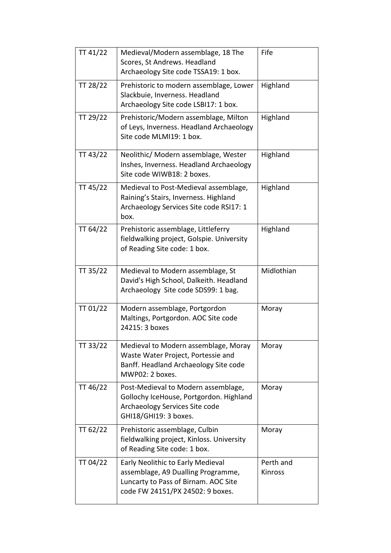| TT 41/22 | Medieval/Modern assemblage, 18 The<br>Scores, St Andrews. Headland<br>Archaeology Site code TSSA19: 1 box.                                          | Fife                 |
|----------|-----------------------------------------------------------------------------------------------------------------------------------------------------|----------------------|
| TT 28/22 | Prehistoric to modern assemblage, Lower<br>Slackbuie, Inverness. Headland<br>Archaeology Site code LSBI17: 1 box.                                   | Highland             |
| TT 29/22 | Prehistoric/Modern assemblage, Milton<br>of Leys, Inverness. Headland Archaeology<br>Site code MLMI19: 1 box.                                       | Highland             |
| TT 43/22 | Neolithic/ Modern assemblage, Wester<br>Inshes, Inverness. Headland Archaeology<br>Site code WIWB18: 2 boxes.                                       | Highland             |
| TT 45/22 | Medieval to Post-Medieval assemblage,<br>Raining's Stairs, Inverness. Highland<br>Archaeology Services Site code RSI17: 1<br>box.                   | Highland             |
| TT 64/22 | Prehistoric assemblage, Littleferry<br>fieldwalking project, Golspie. University<br>of Reading Site code: 1 box.                                    | Highland             |
| TT 35/22 | Medieval to Modern assemblage, St<br>David's High School, Dalkeith. Headland<br>Archaeology Site code SDS99: 1 bag.                                 | Midlothian           |
| TT 01/22 | Modern assemblage, Portgordon<br>Maltings, Portgordon. AOC Site code<br>24215: 3 boxes                                                              | Moray                |
| TT 33/22 | Medieval to Modern assemblage, Moray<br>Waste Water Project, Portessie and<br>Banff. Headland Archaeology Site code<br>MWP02: 2 boxes.              | Moray                |
| TT 46/22 | Post-Medieval to Modern assemblage,<br>Gollochy IceHouse, Portgordon. Highland<br>Archaeology Services Site code<br>GHI18/GHI19: 3 boxes.           | Moray                |
| TT 62/22 | Prehistoric assemblage, Culbin<br>fieldwalking project, Kinloss. University<br>of Reading Site code: 1 box.                                         | Moray                |
| TT 04/22 | Early Neolithic to Early Medieval<br>assemblage, A9 Dualling Programme,<br>Luncarty to Pass of Birnam. AOC Site<br>code FW 24151/PX 24502: 9 boxes. | Perth and<br>Kinross |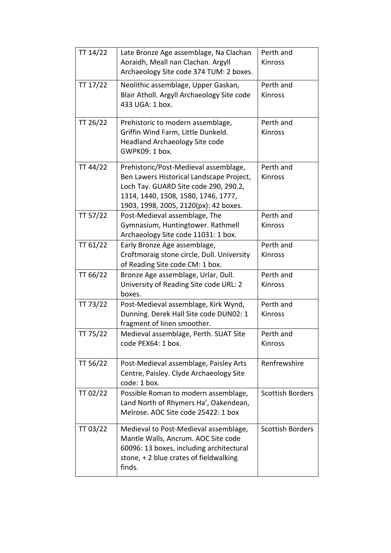| TT 14/22 | Late Bronze Age assemblage, Na Clachan     | Perth and               |
|----------|--------------------------------------------|-------------------------|
|          | Aoraidh, Meall nan Clachan. Argyll         | Kinross                 |
|          | Archaeology Site code 374 TUM: 2 boxes.    |                         |
| TT 17/22 | Neolithic assemblage, Upper Gaskan,        | Perth and               |
|          | Blair Atholl. Argyll Archaeology Site code | Kinross                 |
|          | 433 UGA: 1 box.                            |                         |
|          |                                            |                         |
| TT 26/22 | Prehistoric to modern assemblage,          | Perth and               |
|          | Griffin Wind Farm, Little Dunkeld.         | Kinross                 |
|          | <b>Headland Archaeology Site code</b>      |                         |
|          | GWPK09: 1 box.                             |                         |
| TT 44/22 | Prehistoric/Post-Medieval assemblage,      | Perth and               |
|          | Ben Lawers Historical Landscape Project,   | Kinross                 |
|          | Loch Tay. GUARD Site code 290, 290.2,      |                         |
|          | 1314, 1440, 1508, 1580, 1746, 1777,        |                         |
|          | 1903, 1998, 2005, 2120(px): 42 boxes.      |                         |
| TT 57/22 | Post-Medieval assemblage, The              | Perth and               |
|          | Gymnasium, Huntingtower. Rathmell          | <b>Kinross</b>          |
|          | Archaeology Site code 11031: 1 box.        |                         |
| TT 61/22 | Early Bronze Age assemblage,               | Perth and               |
|          | Croftmoraig stone circle, Dull. University | <b>Kinross</b>          |
|          | of Reading Site code CM: 1 box.            |                         |
| TT 66/22 | Bronze Age assemblage, Urlar, Dull.        | Perth and               |
|          | University of Reading Site code URL: 2     | Kinross                 |
|          | boxes.                                     |                         |
| TT 73/22 | Post-Medieval assemblage, Kirk Wynd,       | Perth and               |
|          | Dunning. Derek Hall Site code DUN02: 1     | Kinross                 |
|          | fragment of linen smoother.                |                         |
| TT 75/22 | Medieval assemblage, Perth. SUAT Site      | Perth and               |
|          | code PEX64: 1 box.                         | Kinross                 |
|          |                                            |                         |
| TT 56/22 | Post-Medieval assemblage, Paisley Arts     | Renfrewshire            |
|          | Centre, Paisley. Clyde Archaeology Site    |                         |
|          | code: 1 box.                               |                         |
| TT 02/22 | Possible Roman to modern assemblage,       | <b>Scottish Borders</b> |
|          | Land North of Rhymers Ha', Oakendean,      |                         |
|          | Melrose. AOC Site code 25422: 1 box        |                         |
|          |                                            |                         |
| TT 03/22 | Medieval to Post-Medieval assemblage,      | <b>Scottish Borders</b> |
|          | Mantle Walls, Ancrum. AOC Site code        |                         |
|          | 60096: 13 boxes, including architectural   |                         |
|          | stone, +2 blue crates of fieldwalking      |                         |
|          | finds.                                     |                         |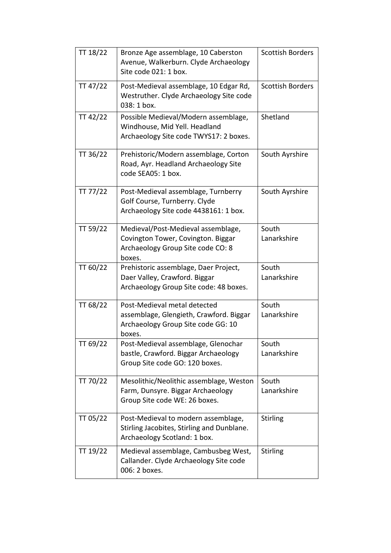| TT 18/22 | Bronze Age assemblage, 10 Caberston<br>Avenue, Walkerburn. Clyde Archaeology<br>Site code 021: 1 box.                   | <b>Scottish Borders</b> |
|----------|-------------------------------------------------------------------------------------------------------------------------|-------------------------|
| TT 47/22 | Post-Medieval assemblage, 10 Edgar Rd,<br>Westruther. Clyde Archaeology Site code<br>038: 1 box.                        | <b>Scottish Borders</b> |
| TT 42/22 | Possible Medieval/Modern assemblage,<br>Windhouse, Mid Yell. Headland<br>Archaeology Site code TWYS17: 2 boxes.         | Shetland                |
| TT 36/22 | Prehistoric/Modern assemblage, Corton<br>Road, Ayr. Headland Archaeology Site<br>code SEA05: 1 box.                     | South Ayrshire          |
| TT 77/22 | Post-Medieval assemblage, Turnberry<br>Golf Course, Turnberry. Clyde<br>Archaeology Site code 4438161: 1 box.           | South Ayrshire          |
| TT 59/22 | Medieval/Post-Medieval assemblage,<br>Covington Tower, Covington. Biggar<br>Archaeology Group Site code CO: 8<br>boxes. | South<br>Lanarkshire    |
| TT 60/22 | Prehistoric assemblage, Daer Project,<br>Daer Valley, Crawford. Biggar<br>Archaeology Group Site code: 48 boxes.        | South<br>Lanarkshire    |
| TT 68/22 | Post-Medieval metal detected<br>assemblage, Glengieth, Crawford. Biggar<br>Archaeology Group Site code GG: 10<br>boxes. | South<br>Lanarkshire    |
| TT 69/22 | Post-Medieval assemblage, Glenochar<br>bastle, Crawford. Biggar Archaeology<br>Group Site code GO: 120 boxes.           | South<br>Lanarkshire    |
| TT 70/22 | Mesolithic/Neolithic assemblage, Weston<br>Farm, Dunsyre. Biggar Archaeology<br>Group Site code WE: 26 boxes.           | South<br>Lanarkshire    |
| TT 05/22 | Post-Medieval to modern assemblage,<br>Stirling Jacobites, Stirling and Dunblane.<br>Archaeology Scotland: 1 box.       | <b>Stirling</b>         |
| TT 19/22 | Medieval assemblage, Cambusbeg West,<br>Callander. Clyde Archaeology Site code<br>006: 2 boxes.                         | <b>Stirling</b>         |